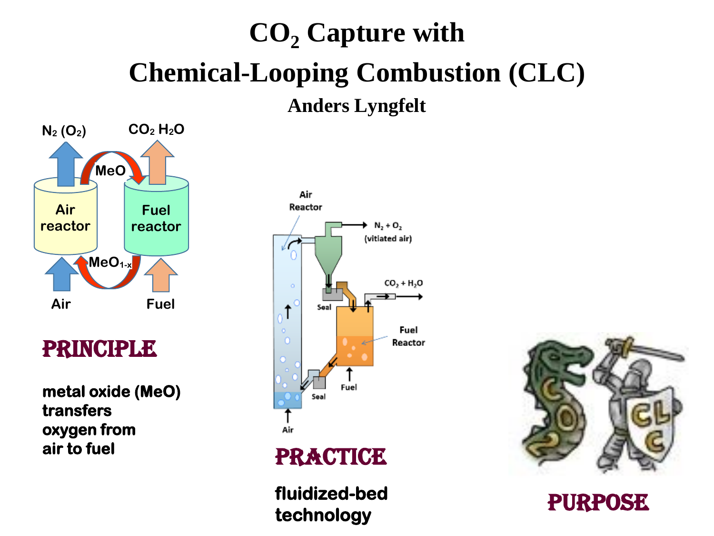# **CO<sup>2</sup> Capture with Chemical-Looping Combustion (CLC) Anders Lyngfelt**



### Principle

**metal oxide (MeO) transfers oxygen from air to fuel** 



#### **PRACTICE**

**fluidized-bed technology** 



**PURPOSE**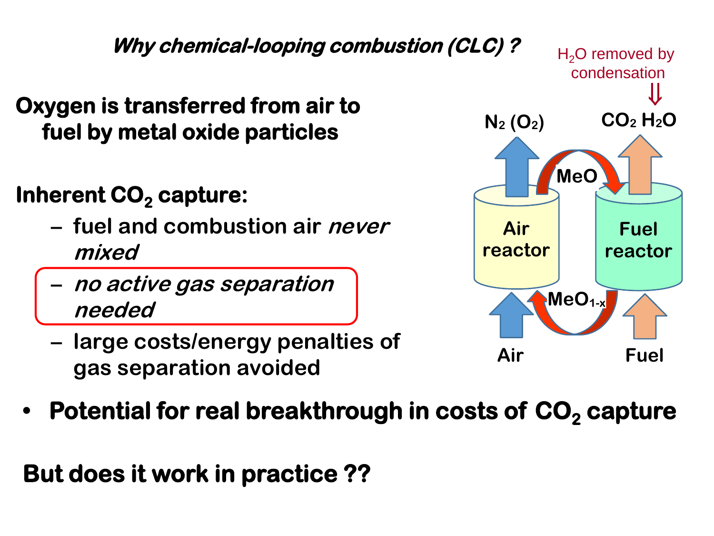

## **Inherent CO<sub>2</sub> capture:**

- **– fuel and combustion air never mixed**
- **– no active gas separation needed**
- **– large costs/energy penalties of gas separation avoided**



**•** Potential for real breakthrough in costs of CO<sub>2</sub> capture

**But does it work in practice ??**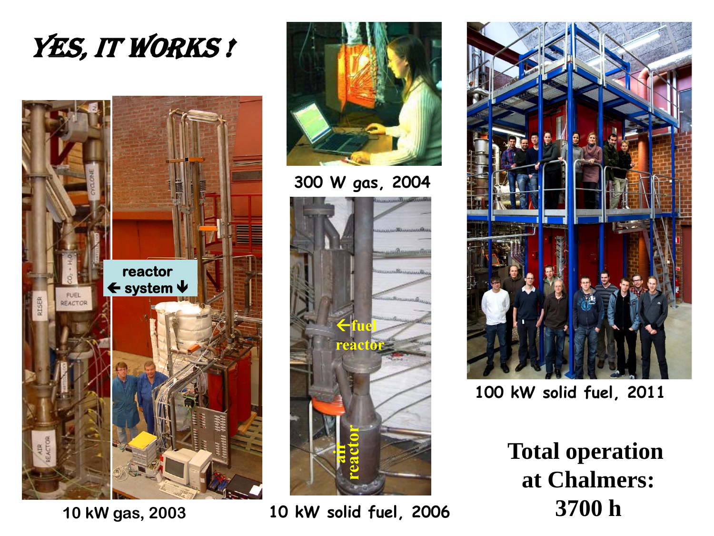



**10 kW gas, 2003**



**300 W gas, 2004**







**100 kW solid fuel, 2011**

**Total operation at Chalmers: 3700 h**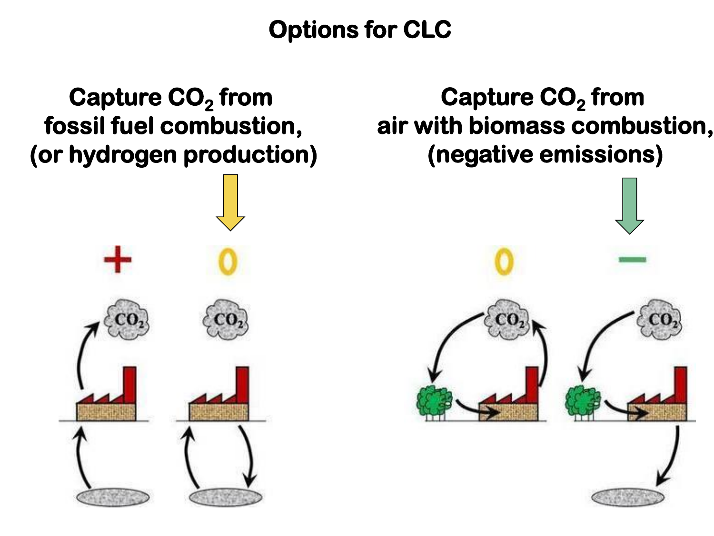**Options for CLC** 

## **Capture CO<sup>2</sup> from fossil fuel combustion, (or hydrogen production)**



**Capture CO<sup>2</sup> from air with biomass combustion, (negative emissions)**